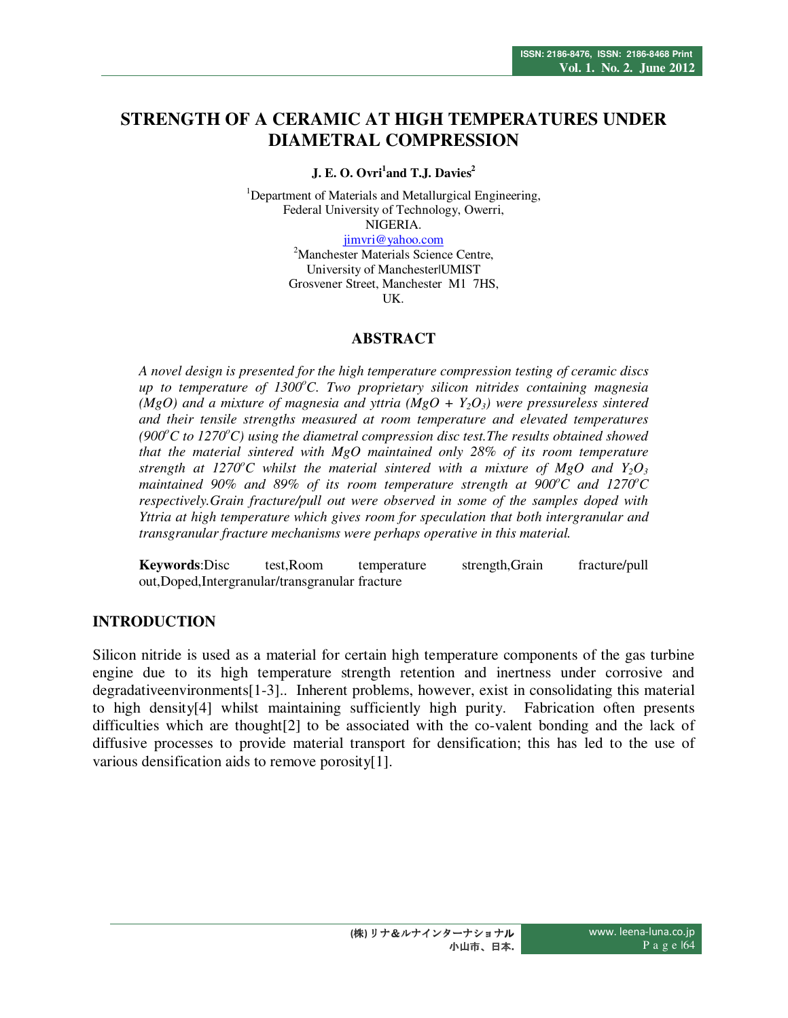# **STRENGTH OF A CERAMIC AT HIGH TEMPERATURES UNDER DIAMETRAL COMPRESSION**

#### **J. E. O. Ovri<sup>1</sup> and T.J. Davies<sup>2</sup>**

<sup>1</sup>Department of Materials and Metallurgical Engineering, Federal University of Technology, Owerri, NIGERIA.

jimvri@yahoo.com

<sup>2</sup>Manchester Materials Science Centre, University of Manchester|UMIST Grosvener Street, Manchester M1 7HS, UK.

#### **ABSTRACT**

*A novel design is presented for the high temperature compression testing of ceramic discs up to temperature of 1300<sup>o</sup>C. Two proprietary silicon nitrides containing magnesia (MgO) and a mixture of magnesia and yttria*  $(MgO + Y_2O_3)$  *were pressureless sintered and their tensile strengths measured at room temperature and elevated temperatures*   $(900^{\circ}C \text{ to } 1270^{\circ}C)$  using the diametral compression disc test. The results obtained showed *that the material sintered with MgO maintained only 28% of its room temperature strength at 1270<sup>o</sup>C whilst the material sintered with a mixture of MgO and Y<sub>2</sub>O<sub>3</sub> maintained 90% and 89% of its room temperature strength at 900<sup>o</sup>C and 1270<sup>o</sup>C respectively.Grain fracture/pull out were observed in some of the samples doped with Yttria at high temperature which gives room for speculation that both intergranular and transgranular fracture mechanisms were perhaps operative in this material.* 

**Keywords**:Disc test,Room temperature strength,Grain fracture/pull out,Doped,Intergranular/transgranular fracture

#### **INTRODUCTION**

Silicon nitride is used as a material for certain high temperature components of the gas turbine engine due to its high temperature strength retention and inertness under corrosive and degradativeenvironments[1-3].. Inherent problems, however, exist in consolidating this material to high density[4] whilst maintaining sufficiently high purity. Fabrication often presents difficulties which are thought[2] to be associated with the co-valent bonding and the lack of diffusive processes to provide material transport for densification; this has led to the use of various densification aids to remove porosity[1].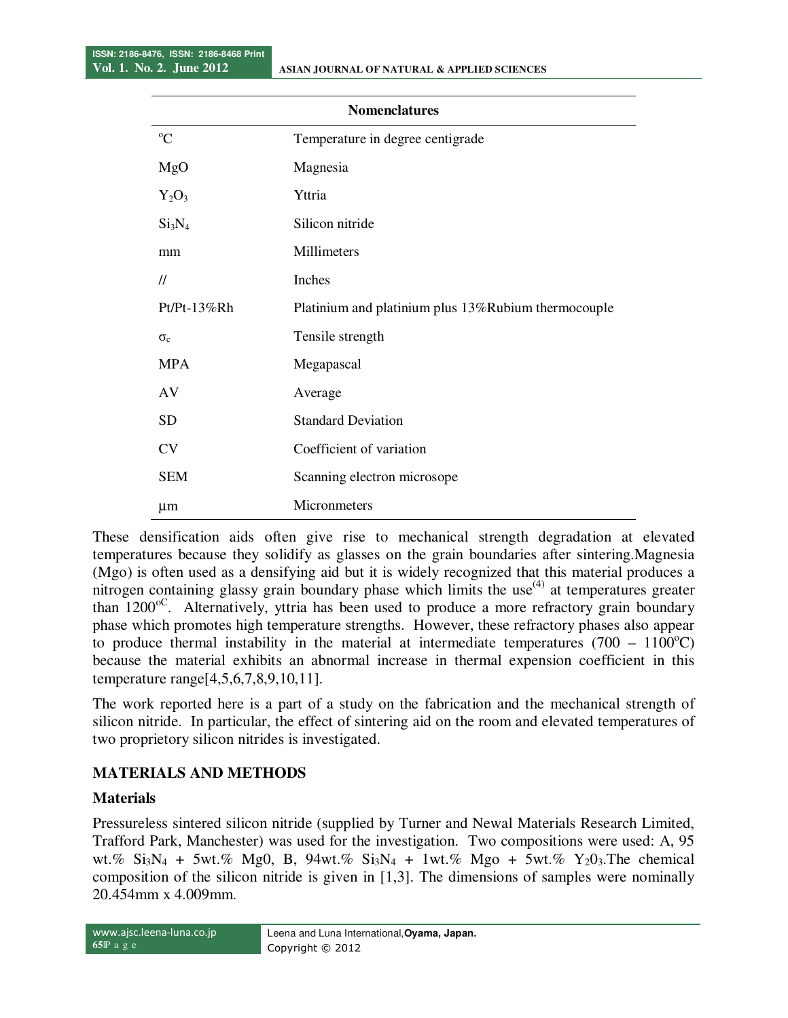| <b>Nomenclatures</b>           |                                                     |  |  |
|--------------------------------|-----------------------------------------------------|--|--|
| $^{\circ}C$                    | Temperature in degree centigrade                    |  |  |
| MgO                            | Magnesia                                            |  |  |
| $Y_2O_3$                       | Yttria                                              |  |  |
| Si <sub>3</sub> N <sub>4</sub> | Silicon nitride                                     |  |  |
| mm                             | Millimeters                                         |  |  |
| $^{\prime\prime}$              | Inches                                              |  |  |
| Pt/Pt-13%Rh                    | Platinium and platinium plus 13%Rubium thermocouple |  |  |
| $\sigma_c$                     | Tensile strength                                    |  |  |
| <b>MPA</b>                     | Megapascal                                          |  |  |
| AV                             | Average                                             |  |  |
| <b>SD</b>                      | <b>Standard Deviation</b>                           |  |  |
| <b>CV</b>                      | Coefficient of variation                            |  |  |
| <b>SEM</b>                     | Scanning electron microsope                         |  |  |
| $\mu$ m                        | Micronmeters                                        |  |  |

These densification aids often give rise to mechanical strength degradation at elevated temperatures because they solidify as glasses on the grain boundaries after sintering.Magnesia (Mgo) is often used as a densifying aid but it is widely recognized that this material produces a nitrogen containing glassy grain boundary phase which limits the use  $(4)$  at temperatures greater than 1200<sup>oC</sup>. Alternatively, yttria has been used to produce a more refractory grain boundary phase which promotes high temperature strengths. However, these refractory phases also appear to produce thermal instability in the material at intermediate temperatures  $(700 - 1100^{\circ}C)$ because the material exhibits an abnormal increase in thermal expension coefficient in this temperature range[4,5,6,7,8,9,10,11].

The work reported here is a part of a study on the fabrication and the mechanical strength of silicon nitride. In particular, the effect of sintering aid on the room and elevated temperatures of two proprietory silicon nitrides is investigated.

# **MATERIALS AND METHODS**

# **Materials**

Pressureless sintered silicon nitride (supplied by Turner and Newal Materials Research Limited, Trafford Park, Manchester) was used for the investigation. Two compositions were used: A, 95 wt.%  $Si_3N_4 + 5wt.$ % Mg0, B, 94wt.%  $Si_3N_4 + 1wt.$ % Mgo + 5wt.% Y<sub>2</sub>0<sub>3</sub>. The chemical composition of the silicon nitride is given in [1,3]. The dimensions of samples were nominally 20.454mm x 4.009mm.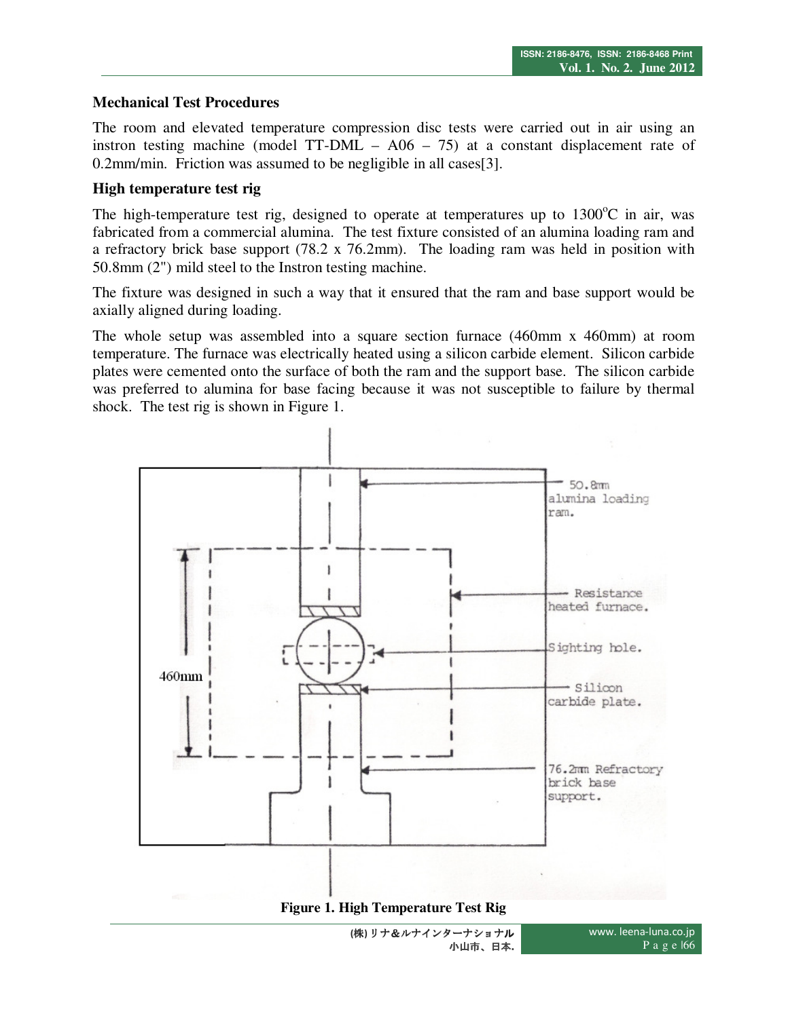# **Mechanical Test Procedures**

The room and elevated temperature compression disc tests were carried out in air using an instron testing machine (model TT-DML – A06 – 75) at a constant displacement rate of 0.2mm/min. Friction was assumed to be negligible in all cases[3].

#### **High temperature test rig**

The high-temperature test rig, designed to operate at temperatures up to  $1300^{\circ}$ C in air, was fabricated from a commercial alumina. The test fixture consisted of an alumina loading ram and a refractory brick base support (78.2 x 76.2mm). The loading ram was held in position with 50.8mm (2") mild steel to the Instron testing machine.

The fixture was designed in such a way that it ensured that the ram and base support would be axially aligned during loading.

The whole setup was assembled into a square section furnace (460mm x 460mm) at room temperature. The furnace was electrically heated using a silicon carbide element. Silicon carbide plates were cemented onto the surface of both the ram and the support base. The silicon carbide was preferred to alumina for base facing because it was not susceptible to failure by thermal shock. The test rig is shown in Figure 1.



**(**株**)** リナ&ルナインターナショナル 小山市、日本**.**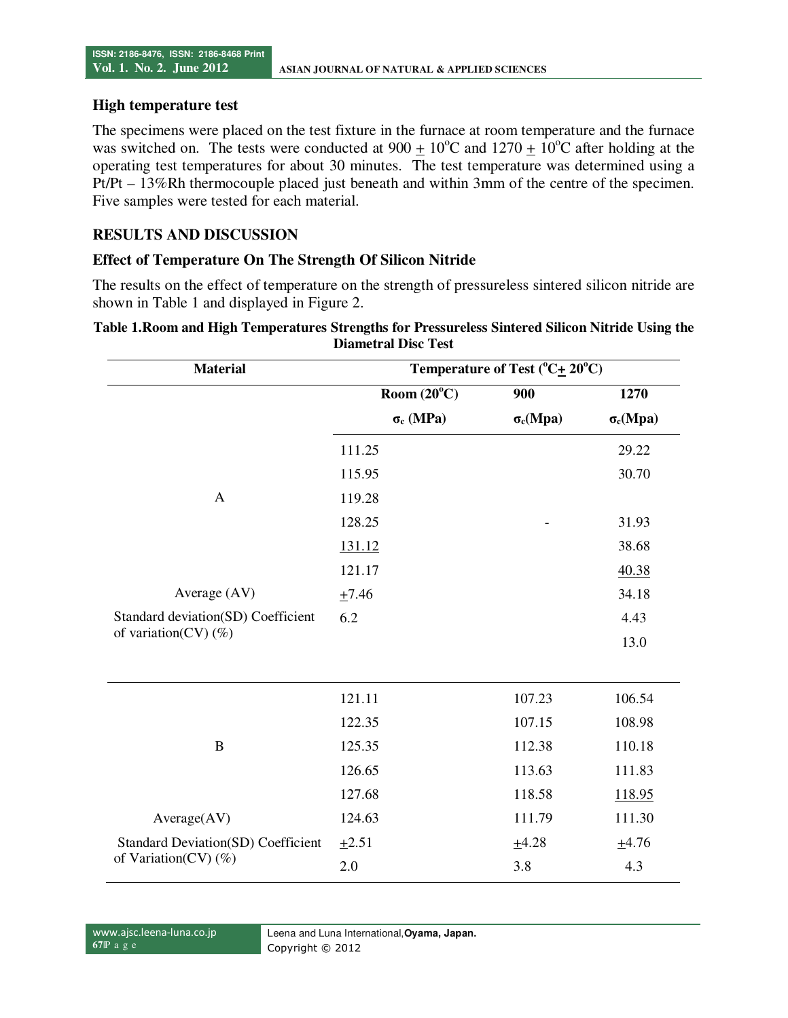#### **High temperature test**

The specimens were placed on the test fixture in the furnace at room temperature and the furnace was switched on. The tests were conducted at  $900 \pm 10^{\circ}$ C and  $1270 \pm 10^{\circ}$ C after holding at the operating test temperatures for about 30 minutes. The test temperature was determined using a Pt/Pt – 13%Rh thermocouple placed just beneath and within 3mm of the centre of the specimen. Five samples were tested for each material.

## **RESULTS AND DISCUSSION**

#### **Effect of Temperature On The Strength Of Silicon Nitride**

The results on the effect of temperature on the strength of pressureless sintered silicon nitride are shown in Table 1 and displayed in Figure 2.

| <b>Material</b>                           | Temperature of Test $(^{\circ}C\text{+}20^{\circ}C)$ |                 |                 |
|-------------------------------------------|------------------------------------------------------|-----------------|-----------------|
|                                           | Room $(20^{\circ}C)$                                 | 900             | 1270            |
|                                           | $\sigma_c$ (MPa)                                     | $\sigma_c(Mpa)$ | $\sigma_c(Mpa)$ |
|                                           | 111.25                                               |                 | 29.22           |
|                                           | 115.95                                               |                 | 30.70           |
| $\mathbf{A}$                              | 119.28                                               |                 |                 |
|                                           | 128.25                                               |                 | 31.93           |
|                                           | 131.12                                               |                 | 38.68           |
|                                           | 121.17                                               |                 | 40.38           |
| Average (AV)                              | ±7.46                                                |                 | 34.18           |
| Standard deviation(SD) Coefficient        | 6.2                                                  |                 | 4.43            |
| of variation(CV) $(\%)$                   |                                                      |                 | 13.0            |
|                                           |                                                      |                 |                 |
|                                           | 121.11                                               | 107.23          | 106.54          |
|                                           | 122.35                                               | 107.15          | 108.98          |
| $\bf{B}$                                  | 125.35                                               | 112.38          | 110.18          |
|                                           | 126.65                                               | 113.63          | 111.83          |
|                                           | 127.68                                               | 118.58          | 118.95          |
| Average(AV)                               | 124.63                                               | 111.79          | 111.30          |
| <b>Standard Deviation(SD) Coefficient</b> | $+2.51$                                              | ±4.28           | ±4.76           |
| of Variation(CV) $(\%)$                   | 2.0                                                  | 3.8             | 4.3             |

#### **Table 1.Room and High Temperatures Strengths for Pressureless Sintered Silicon Nitride Using the Diametral Disc Test**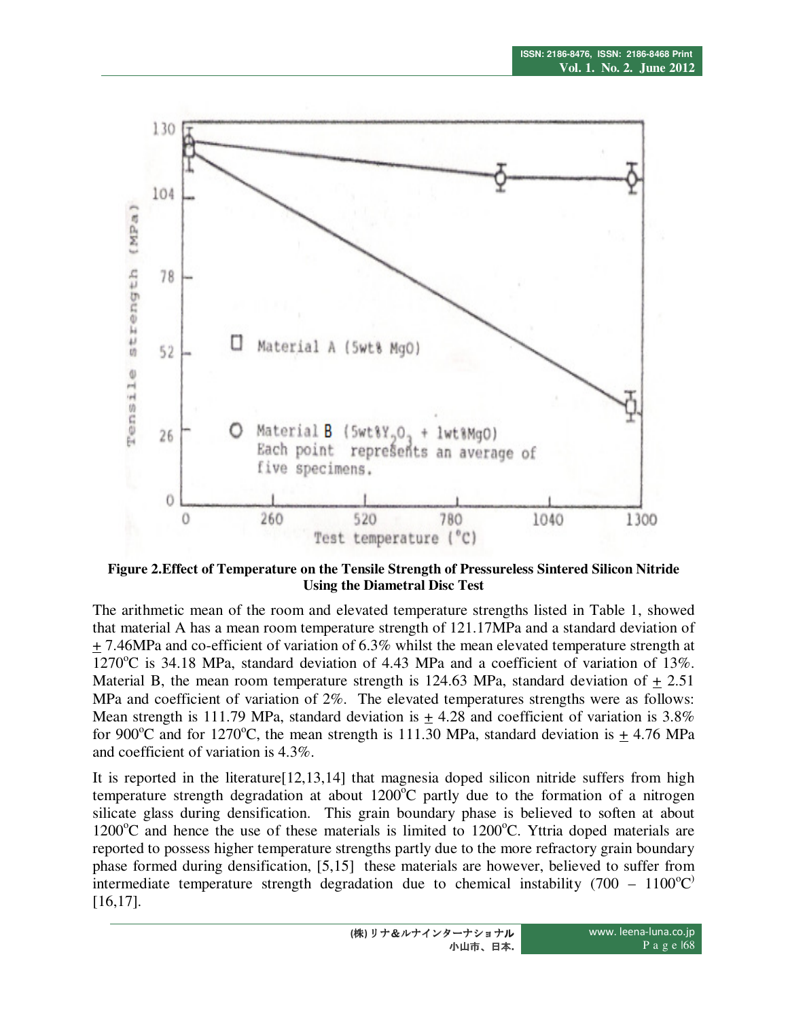

**Figure 2.Effect of Temperature on the Tensile Strength of Pressureless Sintered Silicon Nitride Using the Diametral Disc Test** 

The arithmetic mean of the room and elevated temperature strengths listed in Table 1, showed that material A has a mean room temperature strength of 121.17MPa and a standard deviation of + 7.46MPa and co-efficient of variation of 6.3% whilst the mean elevated temperature strength at 1270 $\degree$ C is 34.18 MPa, standard deviation of 4.43 MPa and a coefficient of variation of 13%. Material B, the mean room temperature strength is 124.63 MPa, standard deviation of + 2.51 MPa and coefficient of variation of 2%. The elevated temperatures strengths were as follows: Mean strength is 111.79 MPa, standard deviation is  $+4.28$  and coefficient of variation is 3.8% for 900<sup>o</sup>C and for 1270<sup>o</sup>C, the mean strength is 111.30 MPa, standard deviation is  $\pm$  4.76 MPa and coefficient of variation is 4.3%.

It is reported in the literature[12,13,14] that magnesia doped silicon nitride suffers from high temperature strength degradation at about  $1200^{\circ}$ C partly due to the formation of a nitrogen silicate glass during densification. This grain boundary phase is believed to soften at about  $1200^{\circ}$ C and hence the use of these materials is limited to  $1200^{\circ}$ C. Yttria doped materials are reported to possess higher temperature strengths partly due to the more refractory grain boundary phase formed during densification, [5,15] these materials are however, believed to suffer from intermediate temperature strength degradation due to chemical instability (700 – 1100 $^{\circ}$ C) [16,17].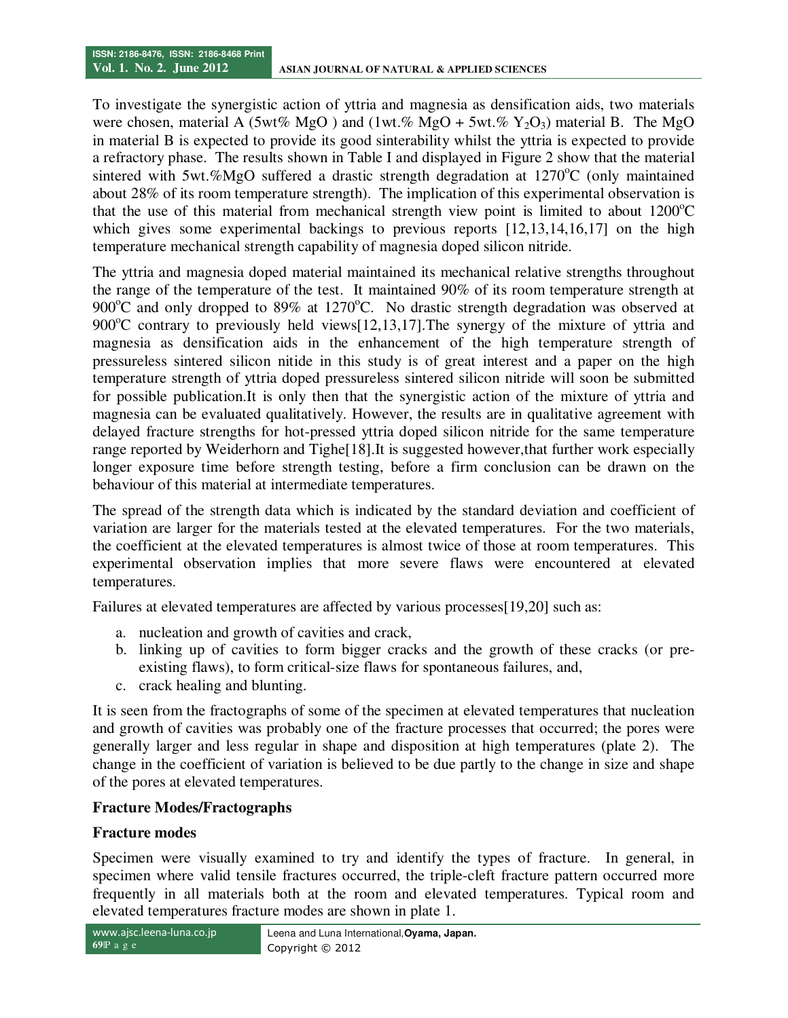To investigate the synergistic action of yttria and magnesia as densification aids, two materials were chosen, material A (5wt% MgO) and (1wt.% MgO + 5wt.%  $Y_2O_3$ ) material B. The MgO in material B is expected to provide its good sinterability whilst the yttria is expected to provide a refractory phase. The results shown in Table I and displayed in Figure 2 show that the material sintered with 5wt.%MgO suffered a drastic strength degradation at  $1270^{\circ}$ C (only maintained about 28% of its room temperature strength). The implication of this experimental observation is that the use of this material from mechanical strength view point is limited to about  $1200^{\circ}$ C which gives some experimental backings to previous reports [12,13,14,16,17] on the high temperature mechanical strength capability of magnesia doped silicon nitride.

The yttria and magnesia doped material maintained its mechanical relative strengths throughout the range of the temperature of the test. It maintained 90% of its room temperature strength at 900 $^{\circ}$ C and only dropped to 89% at 1270 $^{\circ}$ C. No drastic strength degradation was observed at 900 $^{\circ}$ C contrary to previously held views[12,13,17]. The synergy of the mixture of yttria and magnesia as densification aids in the enhancement of the high temperature strength of pressureless sintered silicon nitide in this study is of great interest and a paper on the high temperature strength of yttria doped pressureless sintered silicon nitride will soon be submitted for possible publication.It is only then that the synergistic action of the mixture of yttria and magnesia can be evaluated qualitatively. However, the results are in qualitative agreement with delayed fracture strengths for hot-pressed yttria doped silicon nitride for the same temperature range reported by Weiderhorn and Tighe[18].It is suggested however,that further work especially longer exposure time before strength testing, before a firm conclusion can be drawn on the behaviour of this material at intermediate temperatures.

The spread of the strength data which is indicated by the standard deviation and coefficient of variation are larger for the materials tested at the elevated temperatures. For the two materials, the coefficient at the elevated temperatures is almost twice of those at room temperatures. This experimental observation implies that more severe flaws were encountered at elevated temperatures.

Failures at elevated temperatures are affected by various processes[19,20] such as:

- a. nucleation and growth of cavities and crack,
- b. linking up of cavities to form bigger cracks and the growth of these cracks (or preexisting flaws), to form critical-size flaws for spontaneous failures, and,
- c. crack healing and blunting.

It is seen from the fractographs of some of the specimen at elevated temperatures that nucleation and growth of cavities was probably one of the fracture processes that occurred; the pores were generally larger and less regular in shape and disposition at high temperatures (plate 2). The change in the coefficient of variation is believed to be due partly to the change in size and shape of the pores at elevated temperatures.

#### **Fracture Modes/Fractographs**

#### **Fracture modes**

Specimen were visually examined to try and identify the types of fracture. In general, in specimen where valid tensile fractures occurred, the triple-cleft fracture pattern occurred more frequently in all materials both at the room and elevated temperatures. Typical room and elevated temperatures fracture modes are shown in plate 1.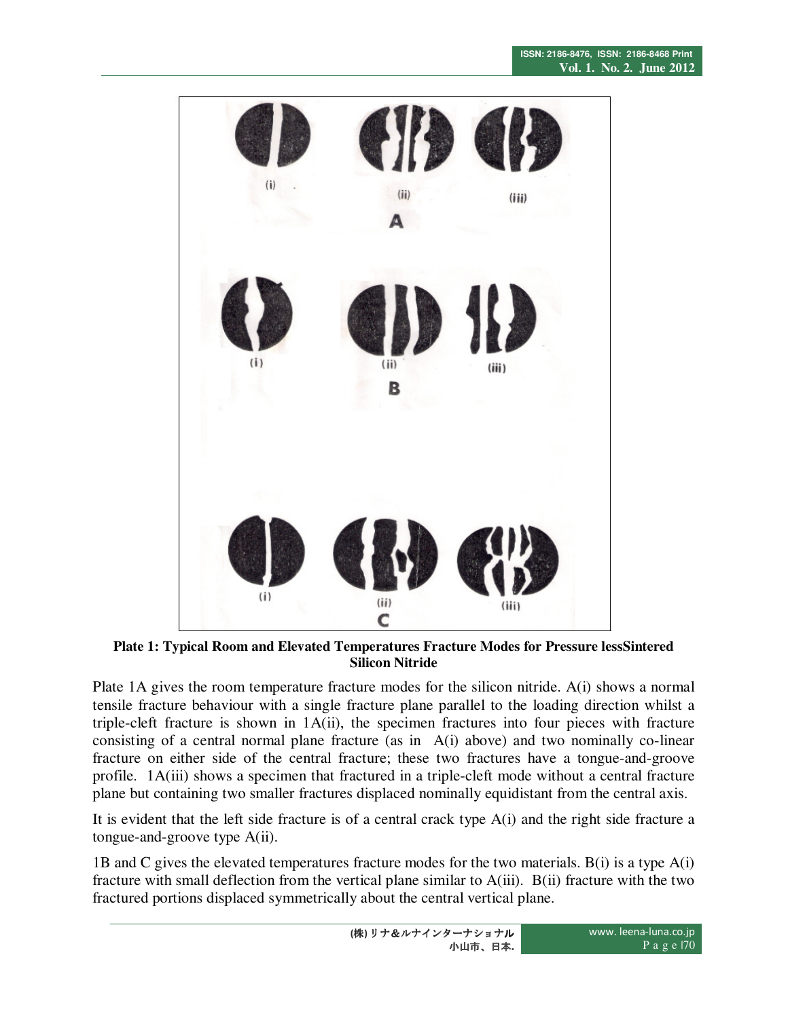

**Plate 1: Typical Room and Elevated Temperatures Fracture Modes for Pressure lessSintered Silicon Nitride** 

Plate 1A gives the room temperature fracture modes for the silicon nitride. A(i) shows a normal tensile fracture behaviour with a single fracture plane parallel to the loading direction whilst a triple-cleft fracture is shown in 1A(ii), the specimen fractures into four pieces with fracture consisting of a central normal plane fracture (as in A(i) above) and two nominally co-linear fracture on either side of the central fracture; these two fractures have a tongue-and-groove profile. 1A(iii) shows a specimen that fractured in a triple-cleft mode without a central fracture plane but containing two smaller fractures displaced nominally equidistant from the central axis.

It is evident that the left side fracture is of a central crack type A(i) and the right side fracture a tongue-and-groove type A(ii).

1B and C gives the elevated temperatures fracture modes for the two materials. B(i) is a type A(i) fracture with small deflection from the vertical plane similar to A(iii). B(ii) fracture with the two fractured portions displaced symmetrically about the central vertical plane.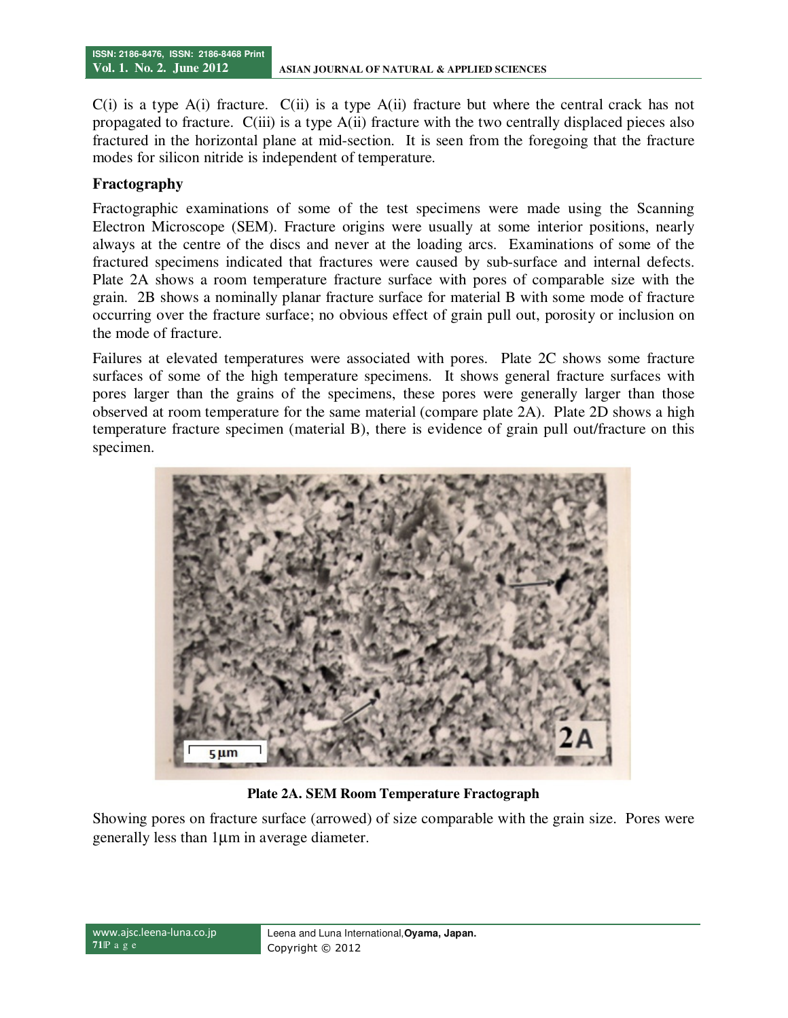$C(i)$  is a type A(i) fracture.  $C(ii)$  is a type A(ii) fracture but where the central crack has not propagated to fracture. C(iii) is a type A(ii) fracture with the two centrally displaced pieces also fractured in the horizontal plane at mid-section. It is seen from the foregoing that the fracture modes for silicon nitride is independent of temperature.

# **Fractography**

Fractographic examinations of some of the test specimens were made using the Scanning Electron Microscope (SEM). Fracture origins were usually at some interior positions, nearly always at the centre of the discs and never at the loading arcs. Examinations of some of the fractured specimens indicated that fractures were caused by sub-surface and internal defects. Plate 2A shows a room temperature fracture surface with pores of comparable size with the grain. 2B shows a nominally planar fracture surface for material B with some mode of fracture occurring over the fracture surface; no obvious effect of grain pull out, porosity or inclusion on the mode of fracture.

Failures at elevated temperatures were associated with pores. Plate 2C shows some fracture surfaces of some of the high temperature specimens. It shows general fracture surfaces with pores larger than the grains of the specimens, these pores were generally larger than those observed at room temperature for the same material (compare plate 2A). Plate 2D shows a high temperature fracture specimen (material B), there is evidence of grain pull out/fracture on this specimen.



**Plate 2A. SEM Room Temperature Fractograph** 

Showing pores on fracture surface (arrowed) of size comparable with the grain size. Pores were generally less than 1µm in average diameter.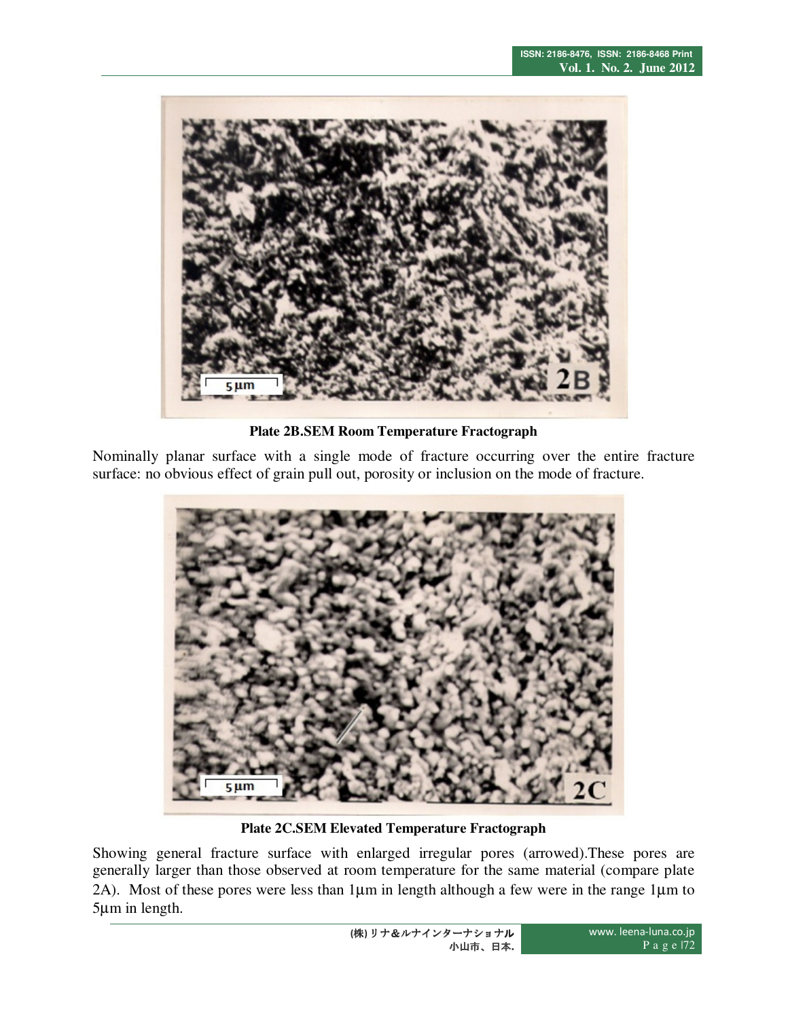

**Plate 2B.SEM Room Temperature Fractograph** 

Nominally planar surface with a single mode of fracture occurring over the entire fracture surface: no obvious effect of grain pull out, porosity or inclusion on the mode of fracture.



**Plate 2C.SEM Elevated Temperature Fractograph** 

Showing general fracture surface with enlarged irregular pores (arrowed).These pores are generally larger than those observed at room temperature for the same material (compare plate 2A). Most of these pores were less than 1µm in length although a few were in the range 1µm to 5µm in length.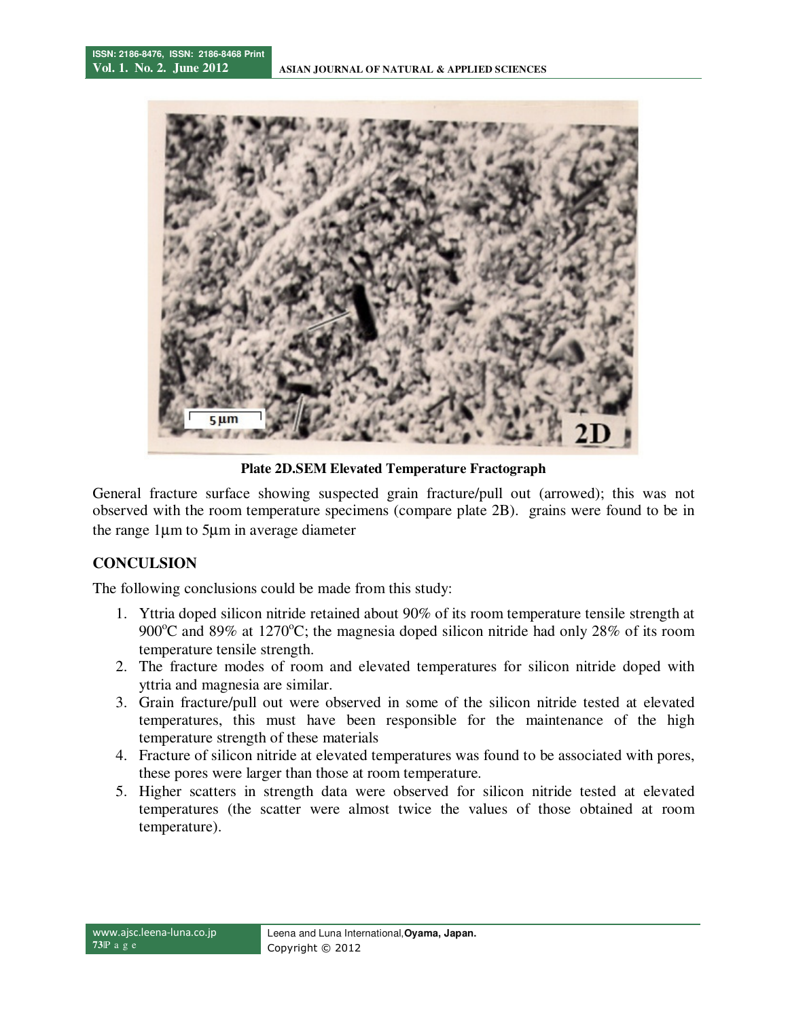

**Plate 2D.SEM Elevated Temperature Fractograph** 

General fracture surface showing suspected grain fracture/pull out (arrowed); this was not observed with the room temperature specimens (compare plate 2B). grains were found to be in the range 1µm to 5µm in average diameter

# **CONCULSION**

The following conclusions could be made from this study:

- 1. Yttria doped silicon nitride retained about 90% of its room temperature tensile strength at 900 $^{\circ}$ C and 89% at 1270 $^{\circ}$ C; the magnesia doped silicon nitride had only 28% of its room temperature tensile strength.
- 2. The fracture modes of room and elevated temperatures for silicon nitride doped with yttria and magnesia are similar.
- 3. Grain fracture/pull out were observed in some of the silicon nitride tested at elevated temperatures, this must have been responsible for the maintenance of the high temperature strength of these materials
- 4. Fracture of silicon nitride at elevated temperatures was found to be associated with pores, these pores were larger than those at room temperature.
- 5. Higher scatters in strength data were observed for silicon nitride tested at elevated temperatures (the scatter were almost twice the values of those obtained at room temperature).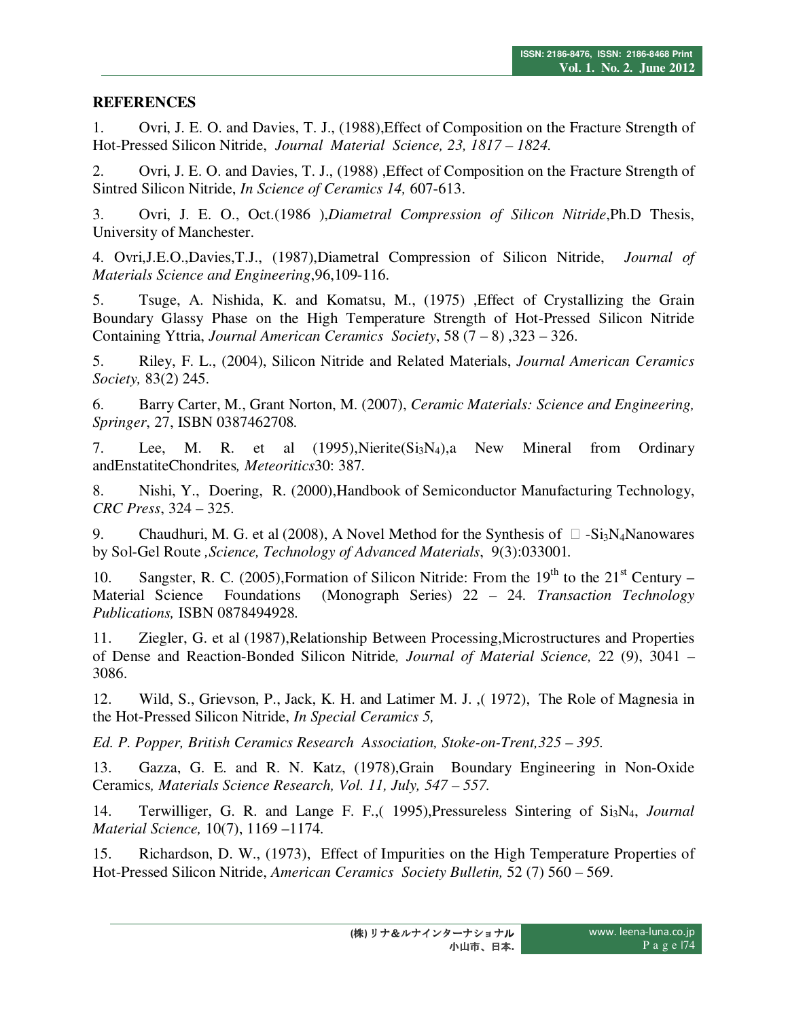# **REFERENCES**

1. Ovri, J. E. O. and Davies, T. J., (1988),Effect of Composition on the Fracture Strength of Hot-Pressed Silicon Nitride, *Journal Material Science, 23, 1817 – 1824.* 

2. Ovri, J. E. O. and Davies, T. J., (1988) ,Effect of Composition on the Fracture Strength of Sintred Silicon Nitride, *In Science of Ceramics 14,* 607-613.

3. Ovri, J. E. O., Oct.(1986 ),*Diametral Compression of Silicon Nitride*,Ph.D Thesis, University of Manchester.

4. Ovri,J.E.O.,Davies,T.J., (1987),Diametral Compression of Silicon Nitride, *Journal of Materials Science and Engineering*,96,109-116.

5. Tsuge, A. Nishida, K. and Komatsu, M., (1975) ,Effect of Crystallizing the Grain Boundary Glassy Phase on the High Temperature Strength of Hot-Pressed Silicon Nitride Containing Yttria, *Journal American Ceramics Society*, 58 (7 – 8) ,323 – 326.

5. Riley, F. L., (2004), Silicon Nitride and Related Materials, *Journal American Ceramics Society,* 83(2) 245.

6. Barry Carter, M., Grant Norton, M. (2007), *Ceramic Materials: Science and Engineering, Springer*, 27, ISBN 0387462708*.* 

7. Lee, M. R. et al (1995),Nierite(Si3N4),a New Mineral from Ordinary andEnstatiteChondrites*, Meteoritics*30: 387*.* 

8. Nishi, Y., Doering, R. (2000),Handbook of Semiconductor Manufacturing Technology, *CRC Press*, 324 – 325.

9. Chaudhuri, M. G. et al (2008), A Novel Method for the Synthesis of  $\Box$  -Si<sub>3</sub>N<sub>4</sub>Nanowares by Sol-Gel Route *,Science, Technology of Advanced Materials*, 9(3):033001*.* 

10. Sangster, R. C. (2005), Formation of Silicon Nitride: From the  $19<sup>th</sup>$  to the  $21<sup>st</sup>$  Century – Material Science Foundations (Monograph Series) 22 – 24*. Transaction Technology Publications,* ISBN 0878494928*.* 

11. Ziegler, G. et al (1987),Relationship Between Processing,Microstructures and Properties of Dense and Reaction-Bonded Silicon Nitride*, Journal of Material Science,* 22 (9), 3041 – 3086.

12. Wild, S., Grievson, P., Jack, K. H. and Latimer M. J. ,( 1972), The Role of Magnesia in the Hot-Pressed Silicon Nitride, *In Special Ceramics 5,*

*Ed. P. Popper, British Ceramics Research Association, Stoke-on-Trent,325 – 395.* 

13. Gazza, G. E. and R. N. Katz, (1978),Grain Boundary Engineering in Non-Oxide Ceramics*, Materials Science Research, Vol. 11, July, 547 – 557.* 

14. Terwilliger, G. R. and Lange F. F.,( 1995),Pressureless Sintering of Si3N4, *Journal Material Science,* 10(7), 1169 –1174.

15. Richardson, D. W., (1973), Effect of Impurities on the High Temperature Properties of Hot-Pressed Silicon Nitride, *American Ceramics Society Bulletin,* 52 (7) 560 – 569.